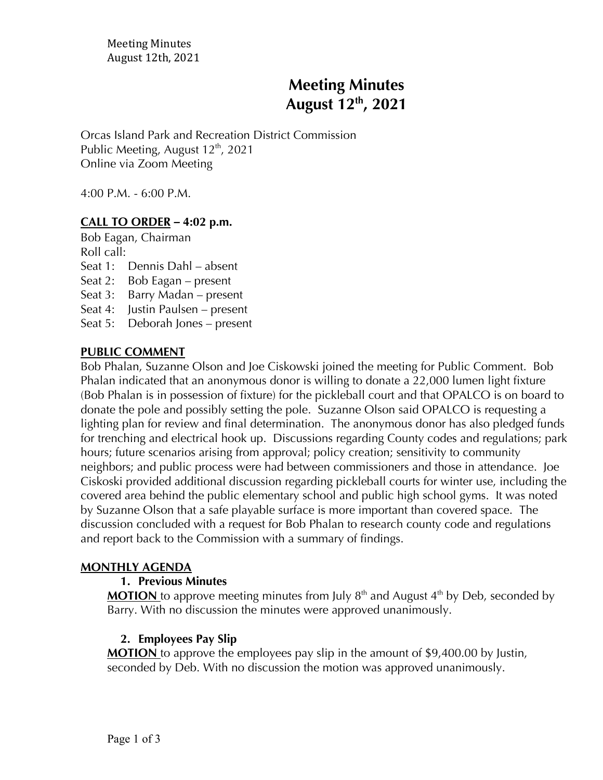Meeting Minutes August 12th, 2021

# **Meeting Minutes August 12th , 2021**

Orcas Island Park and Recreation District Commission Public Meeting, August  $12<sup>th</sup>$ , 2021 Online via Zoom Meeting

4:00 P.M. - 6:00 P.M.

# **CALL TO ORDER** *–* **4:02 p.m.**

Bob Eagan, Chairman Roll call:

Seat 1: Dennis Dahl – absent

Seat 2: Bob Eagan – present

Seat 3: Barry Madan – present

Seat 4: Justin Paulsen – present

Seat 5: Deborah Jones – present

#### **PUBLIC COMMENT**

Bob Phalan, Suzanne Olson and Joe Ciskowski joined the meeting for Public Comment. Bob Phalan indicated that an anonymous donor is willing to donate a 22,000 lumen light fixture (Bob Phalan is in possession of fixture) for the pickleball court and that OPALCO is on board to donate the pole and possibly setting the pole. Suzanne Olson said OPALCO is requesting a lighting plan for review and final determination. The anonymous donor has also pledged funds for trenching and electrical hook up. Discussions regarding County codes and regulations; park hours; future scenarios arising from approval; policy creation; sensitivity to community neighbors; and public process were had between commissioners and those in attendance. Joe Ciskoski provided additional discussion regarding pickleball courts for winter use, including the covered area behind the public elementary school and public high school gyms. It was noted by Suzanne Olson that a safe playable surface is more important than covered space. The discussion concluded with a request for Bob Phalan to research county code and regulations and report back to the Commission with a summary of findings.

#### **MONTHLY AGENDA**

#### **1. Previous Minutes**

**MOTION** to approve meeting minutes from July  $8<sup>th</sup>$  and August  $4<sup>th</sup>$  by Deb, seconded by Barry. With no discussion the minutes were approved unanimously.

## **2. Employees Pay Slip**

**MOTION** to approve the employees pay slip in the amount of \$9,400.00 by Justin, seconded by Deb. With no discussion the motion was approved unanimously.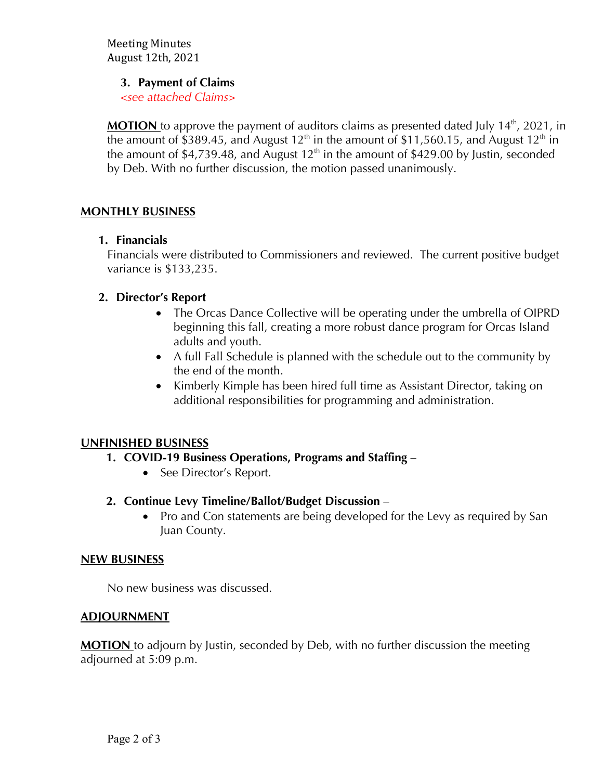Meeting Minutes August 12th, 2021

#### **3. Payment of Claims**

*<see attached Claims>*

MOTION to approve the payment of auditors claims as presented dated July 14<sup>th</sup>, 2021, in the amount of \$389.45, and August  $12<sup>th</sup>$  in the amount of \$11,560.15, and August  $12<sup>th</sup>$  in the amount of \$4,739.48, and August  $12<sup>th</sup>$  in the amount of \$429.00 by Justin, seconded by Deb. With no further discussion, the motion passed unanimously.

# **MONTHLY BUSINESS**

## **1. Financials**

Financials were distributed to Commissioners and reviewed. The current positive budget variance is \$133,235.

# **2. Director's Report**

- The Orcas Dance Collective will be operating under the umbrella of OIPRD beginning this fall, creating a more robust dance program for Orcas Island adults and youth.
- A full Fall Schedule is planned with the schedule out to the community by the end of the month.
- Kimberly Kimple has been hired full time as Assistant Director, taking on additional responsibilities for programming and administration.

## **UNFINISHED BUSINESS**

- **1. COVID-19 Business Operations, Programs and Staffing** 
	- See Director's Report.

## **2. Continue Levy Timeline/Ballot/Budget Discussion** –

• Pro and Con statements are being developed for the Levy as required by San Juan County.

## **NEW BUSINESS**

No new business was discussed.

## **ADJOURNMENT**

**MOTION** to adjourn by Justin, seconded by Deb, with no further discussion the meeting adjourned at 5:09 p.m.